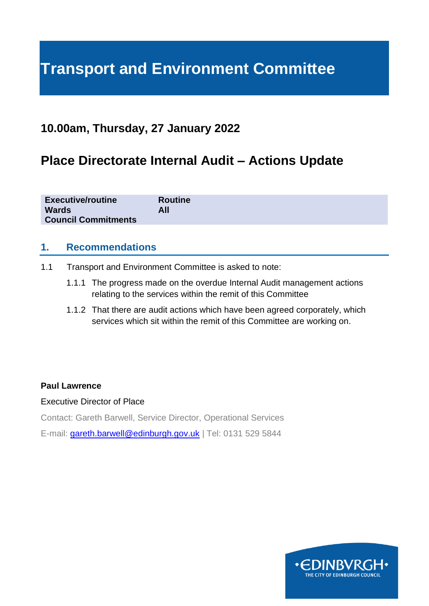# **Transport and Environment Committee**

### **10.00am, Thursday, 27 January 2022**

# **Place Directorate Internal Audit – Actions Update**

| <b>Executive/routine</b><br><b>Routine</b><br><b>Wards</b><br>All<br><b>Council Commitments</b> |
|-------------------------------------------------------------------------------------------------|
|-------------------------------------------------------------------------------------------------|

#### **1. Recommendations**

- 1.1 Transport and Environment Committee is asked to note:
	- 1.1.1 The progress made on the overdue Internal Audit management actions relating to the services within the remit of this Committee
	- 1.1.2 That there are audit actions which have been agreed corporately, which services which sit within the remit of this Committee are working on.

#### **Paul Lawrence**

#### Executive Director of Place

Contact: Gareth Barwell, Service Director, Operational Services

E-mail: [gareth.barwell@edinburgh.gov.uk](mailto:gareth.barwell@edinburgh.gov.uk) | Tel: 0131 529 5844

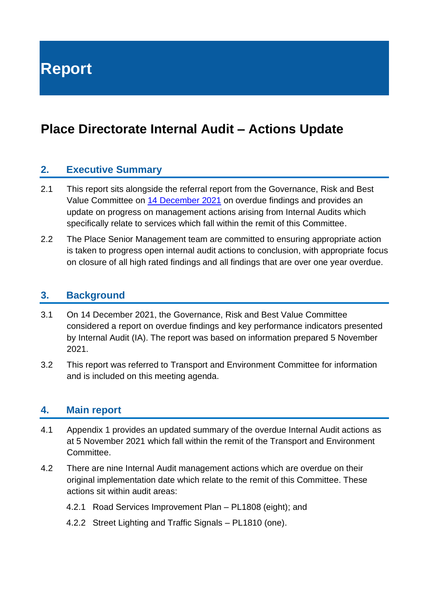**Report**

# **Place Directorate Internal Audit – Actions Update**

#### **2. Executive Summary**

- 2.1 This report sits alongside the referral report from the Governance, Risk and Best Value Committee on 14 [December](https://democracy.edinburgh.gov.uk/ieListDocuments.aspx?CId=138&MId=6133&Ver=4) 2021 on overdue findings and provides an update on progress on management actions arising from Internal Audits which specifically relate to services which fall within the remit of this Committee.
- 2.2 The Place Senior Management team are committed to ensuring appropriate action is taken to progress open internal audit actions to conclusion, with appropriate focus on closure of all high rated findings and all findings that are over one year overdue.

#### **3. Background**

- 3.1 On 14 December 2021, the Governance, Risk and Best Value Committee considered a report on overdue findings and key performance indicators presented by Internal Audit (IA). The report was based on information prepared 5 November 2021.
- 3.2 This report was referred to Transport and Environment Committee for information and is included on this meeting agenda.

#### **4. Main report**

- 4.1 Appendix 1 provides an updated summary of the overdue Internal Audit actions as at 5 November 2021 which fall within the remit of the Transport and Environment Committee.
- 4.2 There are nine Internal Audit management actions which are overdue on their original implementation date which relate to the remit of this Committee. These actions sit within audit areas:
	- 4.2.1 Road Services Improvement Plan PL1808 (eight); and
	- 4.2.2 Street Lighting and Traffic Signals PL1810 (one).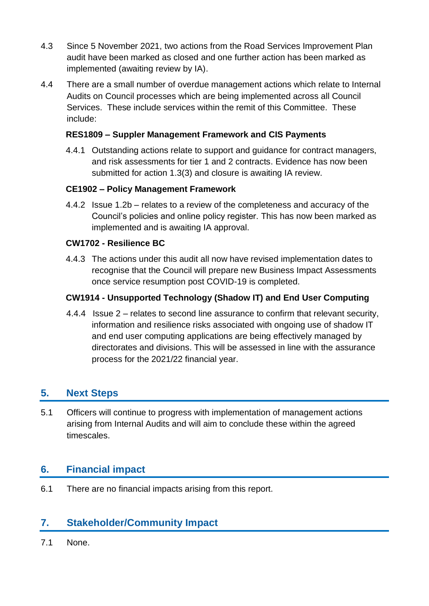- 4.3 Since 5 November 2021, two actions from the Road Services Improvement Plan audit have been marked as closed and one further action has been marked as implemented (awaiting review by IA).
- 4.4 There are a small number of overdue management actions which relate to Internal Audits on Council processes which are being implemented across all Council Services. These include services within the remit of this Committee. These include:

#### **RES1809 – Suppler Management Framework and CIS Payments**

4.4.1 Outstanding actions relate to support and guidance for contract managers, and risk assessments for tier 1 and 2 contracts. Evidence has now been submitted for action 1.3(3) and closure is awaiting IA review.

#### **CE1902 – Policy Management Framework**

4.4.2 Issue 1.2b – relates to a review of the completeness and accuracy of the Council's policies and online policy register. This has now been marked as implemented and is awaiting IA approval.

#### **CW1702 - Resilience BC**

4.4.3 The actions under this audit all now have revised implementation dates to recognise that the Council will prepare new Business Impact Assessments once service resumption post COVID-19 is completed.

#### **CW1914 - Unsupported Technology (Shadow IT) and End User Computing**

4.4.4 Issue 2 – relates to second line assurance to confirm that relevant security, information and resilience risks associated with ongoing use of shadow IT and end user computing applications are being effectively managed by directorates and divisions. This will be assessed in line with the assurance process for the 2021/22 financial year.

#### **5. Next Steps**

5.1 Officers will continue to progress with implementation of management actions arising from Internal Audits and will aim to conclude these within the agreed timescales.

#### **6. Financial impact**

6.1 There are no financial impacts arising from this report.

#### **7. Stakeholder/Community Impact**

7.1 None.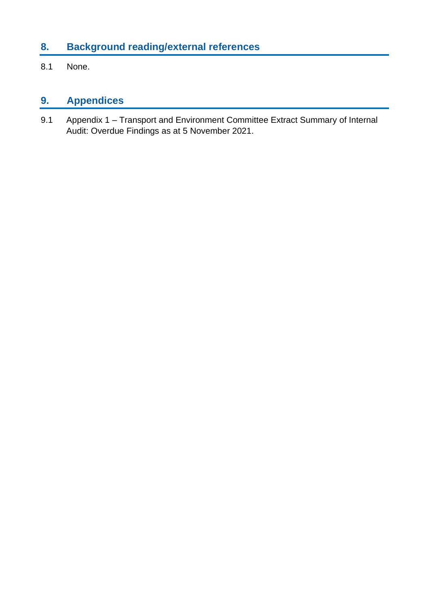## **8. Background reading/external references**

8.1 None.

## **9. Appendices**

9.1 Appendix 1 – Transport and Environment Committee Extract Summary of Internal Audit: Overdue Findings as at 5 November 2021.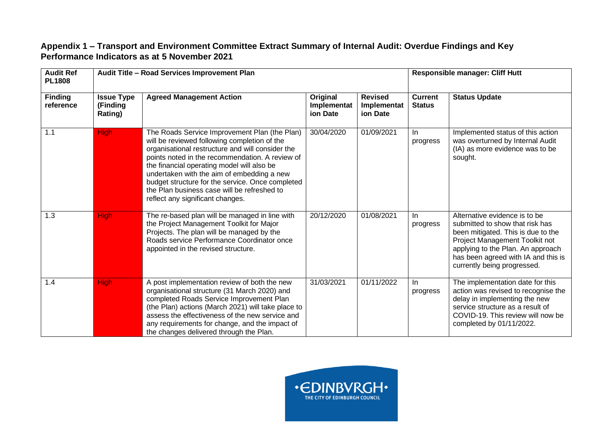#### **Appendix 1 – Transport and Environment Committee Extract Summary of Internal Audit: Overdue Findings and Key Performance Indicators as at 5 November 2021**

| <b>Audit Ref</b><br><b>PL1808</b> | Audit Title - Road Services Improvement Plan |                                                                                                                                                                                                                                                                                                                                                                                                                                         |                                     |                                           | <b>Responsible manager: Cliff Hutt</b> |                                                                                                                                                                                                                                                     |  |
|-----------------------------------|----------------------------------------------|-----------------------------------------------------------------------------------------------------------------------------------------------------------------------------------------------------------------------------------------------------------------------------------------------------------------------------------------------------------------------------------------------------------------------------------------|-------------------------------------|-------------------------------------------|----------------------------------------|-----------------------------------------------------------------------------------------------------------------------------------------------------------------------------------------------------------------------------------------------------|--|
| <b>Finding</b><br>reference       | <b>Issue Type</b><br>(Finding<br>Rating)     | <b>Agreed Management Action</b>                                                                                                                                                                                                                                                                                                                                                                                                         | Original<br>Implementat<br>ion Date | <b>Revised</b><br>Implementat<br>ion Date | <b>Current</b><br><b>Status</b>        | <b>Status Update</b>                                                                                                                                                                                                                                |  |
| 1.1                               | <b>High</b>                                  | The Roads Service Improvement Plan (the Plan)<br>will be reviewed following completion of the<br>organisational restructure and will consider the<br>points noted in the recommendation. A review of<br>the financial operating model will also be<br>undertaken with the aim of embedding a new<br>budget structure for the service. Once completed<br>the Plan business case will be refreshed to<br>reflect any significant changes. | 30/04/2020                          | 01/09/2021                                | In<br>progress                         | Implemented status of this action<br>was overturned by Internal Audit<br>(IA) as more evidence was to be<br>sought.                                                                                                                                 |  |
| 1.3                               | <b>High</b>                                  | The re-based plan will be managed in line with<br>the Project Management Toolkit for Major<br>Projects. The plan will be managed by the<br>Roads service Performance Coordinator once<br>appointed in the revised structure.                                                                                                                                                                                                            | 20/12/2020                          | 01/08/2021                                | -ln<br>progress                        | Alternative evidence is to be<br>submitted to show that risk has<br>been mitigated. This is due to the<br>Project Management Toolkit not<br>applying to the Plan. An approach<br>has been agreed with IA and this is<br>currently being progressed. |  |
| 1.4                               | <b>High</b>                                  | A post implementation review of both the new<br>organisational structure (31 March 2020) and<br>completed Roads Service Improvement Plan<br>(the Plan) actions (March 2021) will take place to<br>assess the effectiveness of the new service and<br>any requirements for change, and the impact of<br>the changes delivered through the Plan.                                                                                          | 31/03/2021                          | 01/11/2022                                | -ln<br>progress                        | The implementation date for this<br>action was revised to recognise the<br>delay in implementing the new<br>service structure as a result of<br>COVID-19. This review will now be<br>completed by 01/11/2022.                                       |  |

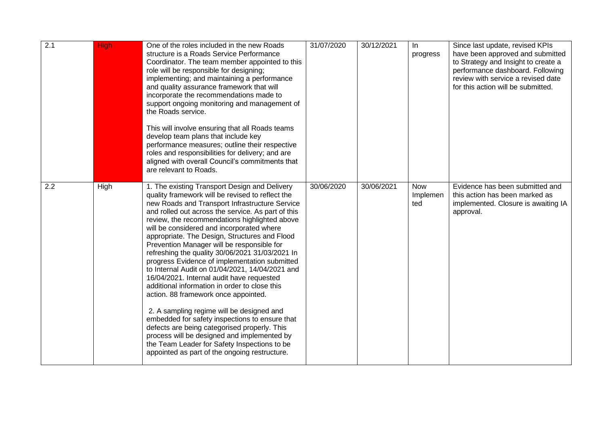| 2.1 | <b>High</b> | One of the roles included in the new Roads<br>structure is a Roads Service Performance<br>Coordinator. The team member appointed to this<br>role will be responsible for designing;<br>implementing; and maintaining a performance<br>and quality assurance framework that will<br>incorporate the recommendations made to<br>support ongoing monitoring and management of<br>the Roads service.<br>This will involve ensuring that all Roads teams<br>develop team plans that include key<br>performance measures; outline their respective<br>roles and responsibilities for delivery; and are<br>aligned with overall Council's commitments that<br>are relevant to Roads.                                                                                                                                                                                                                                                                                                                      | 31/07/2020 | 30/12/2021 | In<br>progress                | Since last update, revised KPIs<br>have been approved and submitted<br>to Strategy and Insight to create a<br>performance dashboard. Following<br>review with service a revised date<br>for this action will be submitted. |
|-----|-------------|----------------------------------------------------------------------------------------------------------------------------------------------------------------------------------------------------------------------------------------------------------------------------------------------------------------------------------------------------------------------------------------------------------------------------------------------------------------------------------------------------------------------------------------------------------------------------------------------------------------------------------------------------------------------------------------------------------------------------------------------------------------------------------------------------------------------------------------------------------------------------------------------------------------------------------------------------------------------------------------------------|------------|------------|-------------------------------|----------------------------------------------------------------------------------------------------------------------------------------------------------------------------------------------------------------------------|
| 2.2 | High        | 1. The existing Transport Design and Delivery<br>quality framework will be revised to reflect the<br>new Roads and Transport Infrastructure Service<br>and rolled out across the service. As part of this<br>review, the recommendations highlighted above<br>will be considered and incorporated where<br>appropriate. The Design, Structures and Flood<br>Prevention Manager will be responsible for<br>refreshing the quality 30/06/2021 31/03/2021 In<br>progress Evidence of implementation submitted<br>to Internal Audit on 01/04/2021, 14/04/2021 and<br>16/04/2021. Internal audit have requested<br>additional information in order to close this<br>action. 88 framework once appointed.<br>2. A sampling regime will be designed and<br>embedded for safety inspections to ensure that<br>defects are being categorised properly. This<br>process will be designed and implemented by<br>the Team Leader for Safety Inspections to be<br>appointed as part of the ongoing restructure. | 30/06/2020 | 30/06/2021 | <b>Now</b><br>Implemen<br>ted | Evidence has been submitted and<br>this action has been marked as<br>implemented. Closure is awaiting IA<br>approval.                                                                                                      |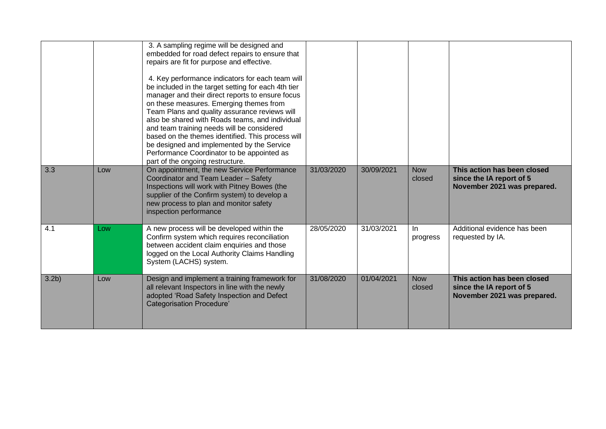|                  |     | 3. A sampling regime will be designed and<br>embedded for road defect repairs to ensure that<br>repairs are fit for purpose and effective.<br>4. Key performance indicators for each team will<br>be included in the target setting for each 4th tier<br>manager and their direct reports to ensure focus<br>on these measures. Emerging themes from<br>Team Plans and quality assurance reviews will<br>also be shared with Roads teams, and individual<br>and team training needs will be considered<br>based on the themes identified. This process will<br>be designed and implemented by the Service<br>Performance Coordinator to be appointed as<br>part of the ongoing restructure. |            |            |                      |                                                                                        |
|------------------|-----|---------------------------------------------------------------------------------------------------------------------------------------------------------------------------------------------------------------------------------------------------------------------------------------------------------------------------------------------------------------------------------------------------------------------------------------------------------------------------------------------------------------------------------------------------------------------------------------------------------------------------------------------------------------------------------------------|------------|------------|----------------------|----------------------------------------------------------------------------------------|
| 3.3              | Low | On appointment, the new Service Performance<br>Coordinator and Team Leader - Safety<br>Inspections will work with Pitney Bowes (the<br>supplier of the Confirm system) to develop a<br>new process to plan and monitor safety<br>inspection performance                                                                                                                                                                                                                                                                                                                                                                                                                                     | 31/03/2020 | 30/09/2021 | <b>Now</b><br>closed | This action has been closed<br>since the IA report of 5<br>November 2021 was prepared. |
| 4.1              | Low | A new process will be developed within the<br>Confirm system which requires reconciliation<br>between accident claim enquiries and those<br>logged on the Local Authority Claims Handling<br>System (LACHS) system.                                                                                                                                                                                                                                                                                                                                                                                                                                                                         | 28/05/2020 | 31/03/2021 | In.<br>progress      | Additional evidence has been<br>requested by IA.                                       |
| 3.2 <sub>b</sub> | Low | Design and implement a training framework for<br>all relevant Inspectors in line with the newly<br>adopted 'Road Safety Inspection and Defect<br><b>Categorisation Procedure</b> '                                                                                                                                                                                                                                                                                                                                                                                                                                                                                                          | 31/08/2020 | 01/04/2021 | <b>Now</b><br>closed | This action has been closed<br>since the IA report of 5<br>November 2021 was prepared. |